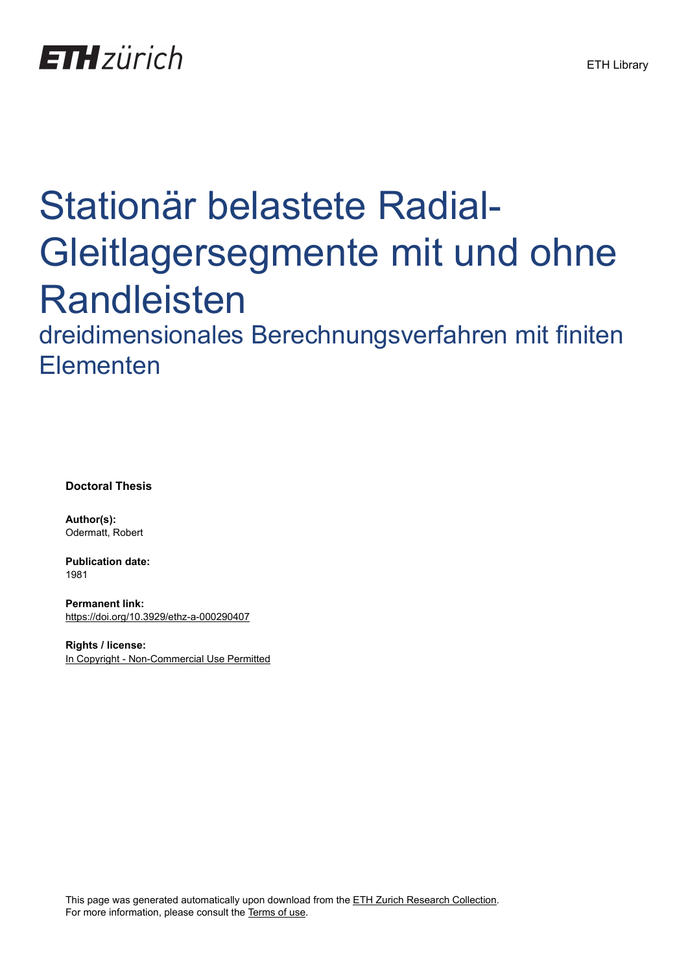## **ETH**zürich

# Stationär belastete Radial-Gleitlagersegmente mit und ohne Randleisten

dreidimensionales Berechnungsverfahren mit finiten Elementen

**Doctoral Thesis**

**Author(s):** Odermatt, Robert

**Publication date:** 1981

**Permanent link:** <https://doi.org/10.3929/ethz-a-000290407>

**Rights / license:** [In Copyright - Non-Commercial Use Permitted](http://rightsstatements.org/page/InC-NC/1.0/)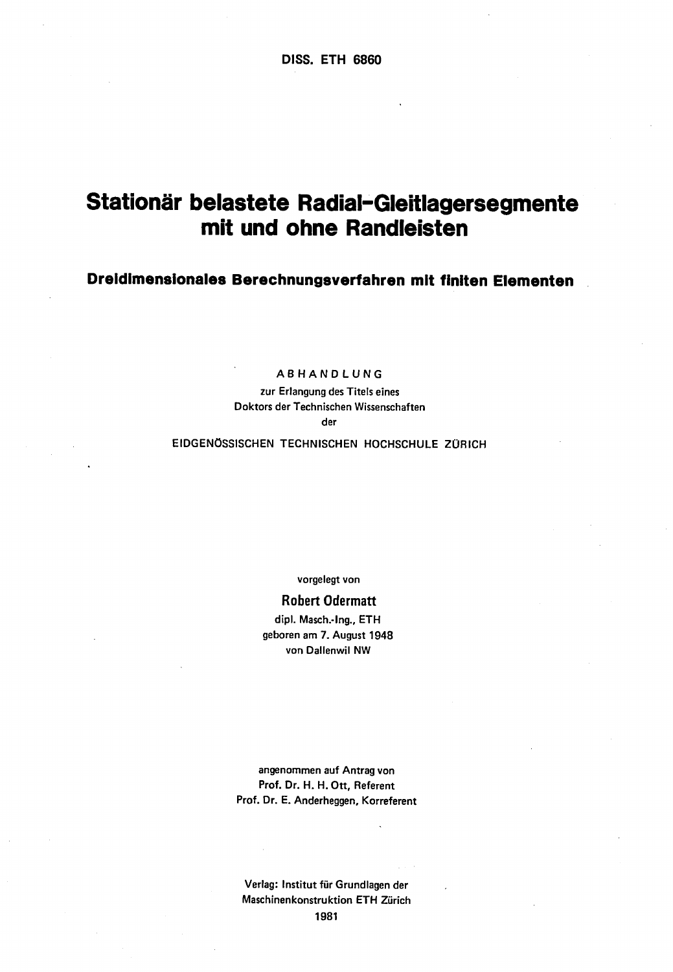### Stationär belastete Radial-Gleitlagersegmente mit und ohne Randleisten

Dreidimensionales Berechnungsverfahren mit finiten Elementen

#### ABHANDLUNG

zur Erlangung des Titels eines Doktors der Technischen Wissenschaften der

#### EIDGENÖSSISCHEN TECHNISCHEN HOCHSCHULE ZÜRICH

vorgelegt von

#### Robert Odermatt

dipl. Masch.-Ing., ETH geboren am 7. August 1948 von Dallenwil NW

angenommen auf Antrag von Prof. Dr. H. H. Ott, Referent Prof. Dr. E. Anderheggen, Korreferent

Verlag: Institut für Grundlagen der Maschinenkonstruktion ETH Zürich

1981